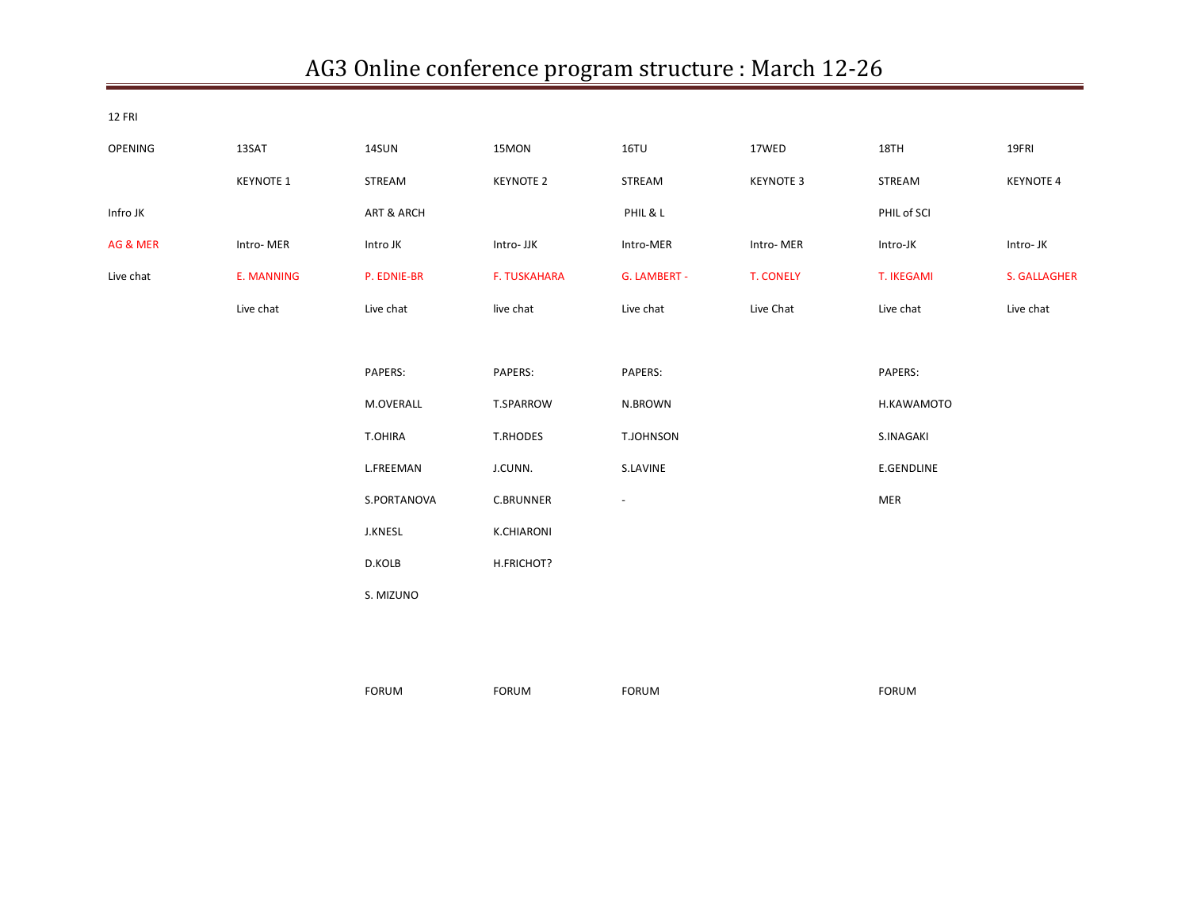## AG3 Online conference program structure : March 12-26

| <b>12 FRI</b> |                  |              |                     |                          |                  |                   |                     |
|---------------|------------------|--------------|---------------------|--------------------------|------------------|-------------------|---------------------|
| OPENING       | 13SAT            | 14SUN        | 15MON               | 16TU                     | 17WED            | 18TH              | 19FRI               |
|               | <b>KEYNOTE 1</b> | STREAM       | <b>KEYNOTE 2</b>    | STREAM                   | <b>KEYNOTE 3</b> | STREAM            | <b>KEYNOTE 4</b>    |
| Infro JK      |                  | ART & ARCH   |                     | PHIL & L                 |                  | PHIL of SCI       |                     |
| AG & MER      | Intro-MER        | Intro JK     | Intro- JJK          | Intro-MER                | Intro-MER        | Intro-JK          | Intro-JK            |
| Live chat     | E. MANNING       | P. EDNIE-BR  | <b>F. TUSKAHARA</b> | G. LAMBERT -             | <b>T. CONELY</b> | T. IKEGAMI        | <b>S. GALLAGHER</b> |
|               | Live chat        | Live chat    | live chat           | Live chat                | Live Chat        | Live chat         | Live chat           |
|               |                  |              |                     |                          |                  |                   |                     |
|               |                  | PAPERS:      | PAPERS:             | PAPERS:                  |                  | PAPERS:           |                     |
|               |                  | M.OVERALL    | T.SPARROW           | N.BROWN                  |                  | H.KAWAMOTO        |                     |
|               |                  | T.OHIRA      | T.RHODES            | T.JOHNSON                |                  | S.INAGAKI         |                     |
|               |                  | L.FREEMAN    | J.CUNN.             | S.LAVINE                 |                  | <b>E.GENDLINE</b> |                     |
|               |                  | S.PORTANOVA  | <b>C.BRUNNER</b>    | $\overline{\phantom{a}}$ |                  | <b>MER</b>        |                     |
|               |                  | J.KNESL      | <b>K.CHIARONI</b>   |                          |                  |                   |                     |
|               |                  | D.KOLB       | H.FRICHOT?          |                          |                  |                   |                     |
|               |                  | S. MIZUNO    |                     |                          |                  |                   |                     |
|               |                  |              |                     |                          |                  |                   |                     |
|               |                  |              |                     |                          |                  |                   |                     |
|               |                  | <b>FORUM</b> | <b>FORUM</b>        | <b>FORUM</b>             |                  | <b>FORUM</b>      |                     |